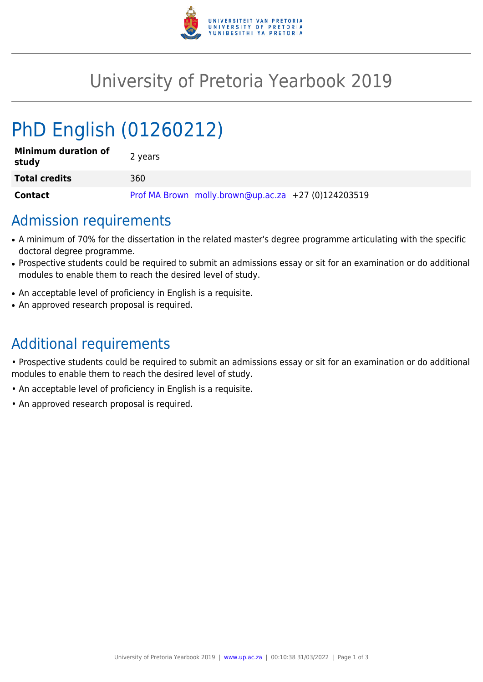

## University of Pretoria Yearbook 2019

# PhD English (01260212)

| <b>Minimum duration of</b><br>study | 2 years                                             |
|-------------------------------------|-----------------------------------------------------|
| <b>Total credits</b>                | 360                                                 |
| <b>Contact</b>                      | Prof MA Brown molly.brown@up.ac.za +27 (0)124203519 |

#### Admission requirements

- A minimum of 70% for the dissertation in the related master's degree programme articulating with the specific doctoral degree programme.
- Prospective students could be required to submit an admissions essay or sit for an examination or do additional modules to enable them to reach the desired level of study.
- An acceptable level of proficiency in English is a requisite.
- An approved research proposal is required.

## Additional requirements

• Prospective students could be required to submit an admissions essay or sit for an examination or do additional modules to enable them to reach the desired level of study.

- An acceptable level of proficiency in English is a requisite.
- An approved research proposal is required.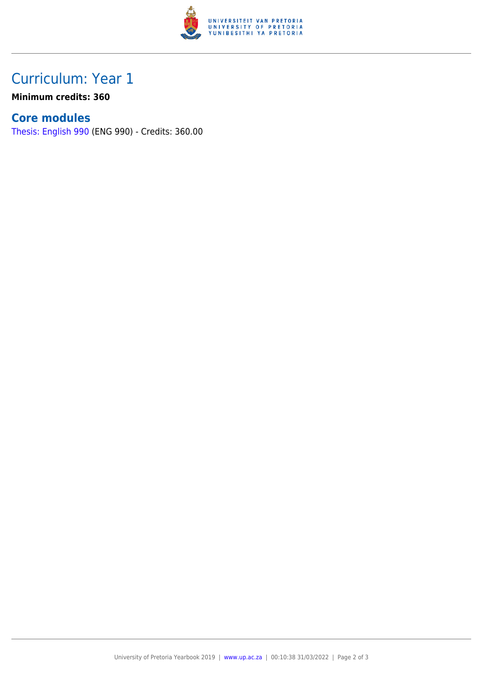

### Curriculum: Year 1

**Minimum credits: 360**

#### **Core modules**

[Thesis: English 990](https://www.up.ac.za/yearbooks/2019/modules/view/ENG 990) (ENG 990) - Credits: 360.00